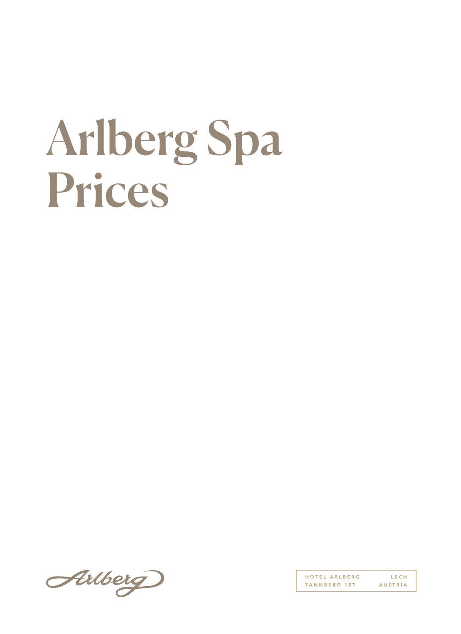## Arlberg Spa Prices

Arlberg

HOTEL ARLBERG LECH TANNBERG 187 **AUSTRIA**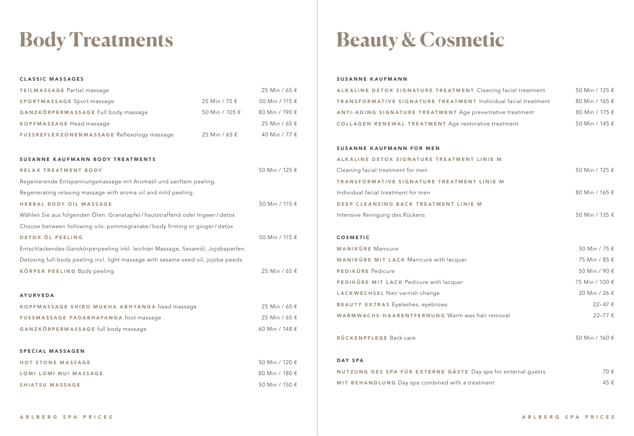## **Body Treatments**

| <b>CLASSIC MASSAGES</b>                                                            |                |                |  |
|------------------------------------------------------------------------------------|----------------|----------------|--|
| <b>TEILMASSAGE Partial massage</b>                                                 |                | 25 Min / 65 €  |  |
| <b>SPORTMASSAGE Sport massage</b>                                                  | 25 Min / 75 €  | 50 Min / 115 € |  |
| GANZKÖRPERMASSAGE Full body massage                                                | 50 Min / 105 € | 80 Min / 190 € |  |
| <b>KOPFMASSAGE Head massage</b>                                                    |                | 25 Min / 65 €  |  |
| FUSSREFLEXZONENMASSAGE Reflexology massage                                         | 25 Min / 65 €  | 40 Min / 77 €  |  |
|                                                                                    |                |                |  |
| <b>SUSANNE KAUFMANN BODY TREATMENTS</b>                                            |                |                |  |
| <b>RELAX TREATMENT BODY</b>                                                        |                | 50 Min / 125 € |  |
| Regenierende Entspannungsmassage mit Aromaöl und sanftem peeling.                  |                |                |  |
| Regenerating relaxing massage with aroma oil and mild peeling.                     |                |                |  |
| <b>HERBAL BODY OIL MASSAGE</b>                                                     |                | 50 Min / 115 € |  |
| Wählen Sie aus folgenden Ölen: Granatapfel/hautstraffend oder Ingwer/detox         |                |                |  |
| Choose between following oils: pommegranate/body firming or ginger/detox           |                |                |  |
| DETOX ÖL PEELING                                                                   |                | 50 Min / 115 € |  |
| Entschlackendes Ganzkörperpeeling inkl. leichter Massage, Sesamöl, Jojobaperlen.   |                |                |  |
| Detoxing full-body peeling incl. light massage with sesame seed oil, jojoba peeds. |                |                |  |
| KÖRPER PEELING Body peeling                                                        |                | 25 Min / 65 €  |  |
|                                                                                    |                |                |  |
| <b>AYURVEDA</b>                                                                    |                |                |  |
| KOPFMASSAGE SHIRO MUKHA ABHYANGA head massage                                      |                | 25 Min / 65 €  |  |
| FUSSMASSAGE PADABHAYANGA foot massage                                              |                | 25 Min / 65 €  |  |
| GANZKÖRPERMASSAGE full body massage                                                |                | 60 Min / 148 € |  |
|                                                                                    |                |                |  |
| <b>SPECIAL MASSAGEN</b>                                                            |                |                |  |
| <b>HOT STONE MASSAGE</b>                                                           |                | 50 Min / 120 € |  |
| <b>LOMI LOMI NUI MASSAGE</b>                                                       |                | 80 Min / 180 € |  |
| <b>SHIATSU MASSAGE</b>                                                             |                | 50 Min / 150 € |  |
|                                                                                    |                |                |  |

## **Beauty & Cosmetic**

## SUSANNE KAUFMANN

| ALKALINE DETOX SIGNATURE TREATMENT Cleaning facial treatment   | 50 Min / 125 €   |
|----------------------------------------------------------------|------------------|
| TRANSFORMATIVE SIGNATURE TREATMENT Individual facial treatment | 80 Min / 165 €   |
| ANTI-AGING SIGNATURE TREATMENT Age preventative treatment      | 80 Min / 175 €   |
| <b>COLLAGEN RENEWAL TREATMENT Age restorative treatment</b>    | 50 Min / 145 €   |
|                                                                |                  |
| <b>SUSANNE KAUFMANN FOR MEN</b>                                |                  |
| ALKALINE DETOX SIGNATURE TREATMENT LINIE M                     |                  |
| Cleaning facial treatment for men                              | 50 Min / 125 €   |
| <b>TRANSFORMATIVE SIGNATURE TREATMENT LINIE M</b>              |                  |
| Individual facial treatment for men                            | 80 Min / 165 €   |
| DEEP CLEANSING BACK TREATMENT LINIE M                          |                  |
| Intensive Reinigung des Rückens                                | 50 Min / 135 €   |
|                                                                |                  |
| <b>COSMETIC</b>                                                |                  |
| <b>MANIKÜRE</b> Manicure                                       | 50 Min / 75 €    |
| MANIKÜRE MIT LACK Manicure with lacquer                        | 75 Min / 85 €    |
| PEDIKÜRE Pedicure                                              | 50 Min / 90 €    |
| PEDIKÜRE MIT LACK Pedicure with lacquer                        | 75 Min / 100 €   |
| LACKWECHSEL Nair varnish change                                | 20 Min / 26 €    |
| <b>BEAUTY EXTRAS</b> Eyelashes, eyebrows                       | $22 - 47 \notin$ |
| WARMWACHS-HAARENTFERNUNG Warm wax hair removal                 | 22-77€           |
|                                                                |                  |
| RÜCKENPFLEGE Back care                                         | 50 Min / 160 €   |
|                                                                |                  |
| <b>DAY SPA</b>                                                 |                  |
| NUTZUNG DES SPA FÜR EXTERNE GÄSTE Day spa for external guests  | 70€              |
| MIT BEHANDLUNG Day spa combined with a treatment               | 45€              |